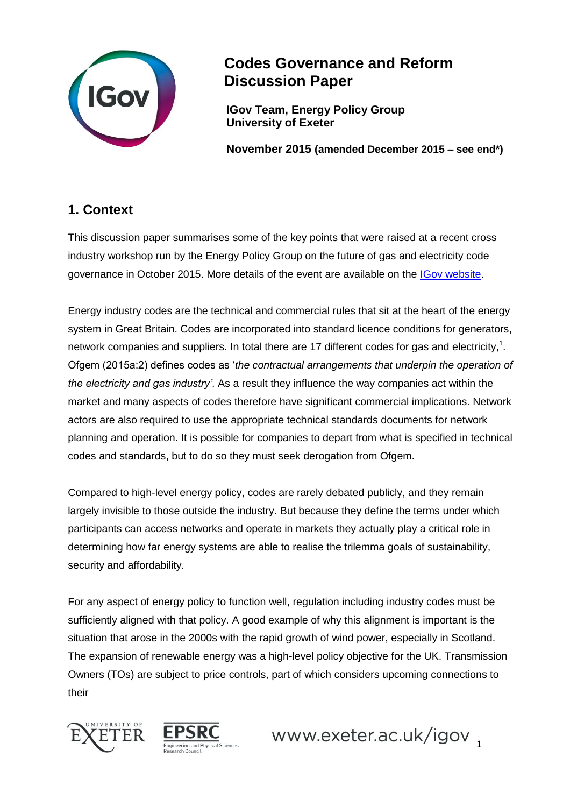

# **Codes Governance and Reform Discussion Paper**

**IGov Team, Energy Policy Group University of Exeter**

**November 2015 (amended December 2015 – see end\*)**

## **1. Context**

This discussion paper summarises some of the key points that were raised at a recent cross industry workshop run by the Energy Policy Group on the future of gas and electricity code governance in October 2015. More details of the event are available on the [IGov website.](http://projects.exeter.ac.uk/igov/category/events/igov-events/code-governance/)

Energy industry codes are the technical and commercial rules that sit at the heart of the energy system in Great Britain. Codes are incorporated into standard licence conditions for generators, network companies and suppliers. In total there are 17 different codes for gas and electricity,<sup>1</sup>. Ofgem (2015a:2) defines codes as '*the contractual arrangements that underpin the operation of the electricity and gas industry'*. As a result they influence the way companies act within the market and many aspects of codes therefore have significant commercial implications. Network actors are also required to use the appropriate technical standards documents for network planning and operation. It is possible for companies to depart from what is specified in technical codes and standards, but to do so they must seek derogation from Ofgem.

Compared to high-level energy policy, codes are rarely debated publicly, and they remain largely invisible to those outside the industry. But because they define the terms under which participants can access networks and operate in markets they actually play a critical role in determining how far energy systems are able to realise the trilemma goals of sustainability, security and affordability.

For any aspect of energy policy to function well, regulation including industry codes must be sufficiently aligned with that policy. A good example of why this alignment is important is the situation that arose in the 2000s with the rapid growth of wind power, especially in Scotland. The expansion of renewable energy was a high-level policy objective for the UK. Transmission Owners (TOs) are subject to price controls, part of which considers upcoming connections to their





www.exeter.ac.uk/igov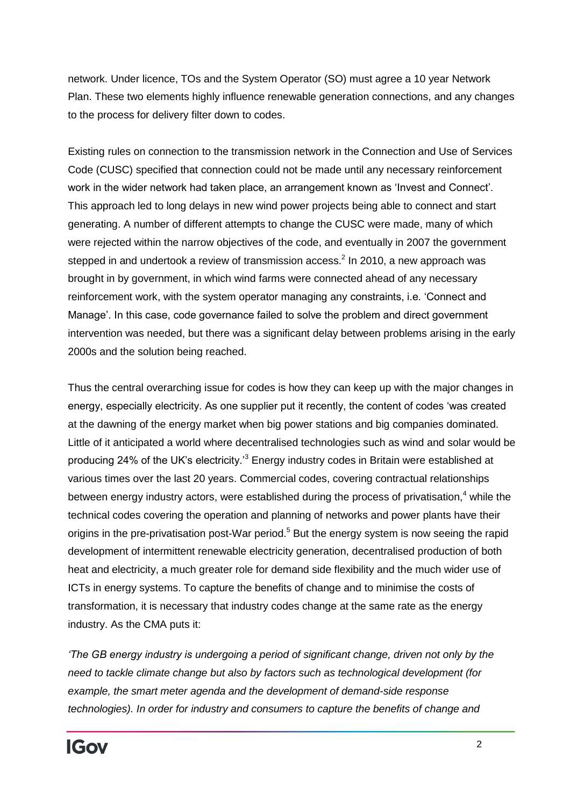network. Under licence, TOs and the System Operator (SO) must agree a 10 year Network Plan. These two elements highly influence renewable generation connections, and any changes to the process for delivery filter down to codes.

Existing rules on connection to the transmission network in the Connection and Use of Services Code (CUSC) specified that connection could not be made until any necessary reinforcement work in the wider network had taken place, an arrangement known as 'Invest and Connect'. This approach led to long delays in new wind power projects being able to connect and start generating. A number of different attempts to change the CUSC were made, many of which were rejected within the narrow objectives of the code, and eventually in 2007 the government stepped in and undertook a review of transmission access.<sup>2</sup> In 2010, a new approach was brought in by government, in which wind farms were connected ahead of any necessary reinforcement work, with the system operator managing any constraints, i.e. 'Connect and Manage'. In this case, code governance failed to solve the problem and direct government intervention was needed, but there was a significant delay between problems arising in the early 2000s and the solution being reached.

Thus the central overarching issue for codes is how they can keep up with the major changes in energy, especially electricity. As one supplier put it recently, the content of codes 'was created at the dawning of the energy market when big power stations and big companies dominated. Little of it anticipated a world where decentralised technologies such as wind and solar would be producing 24% of the UK's electricity.<sup>3</sup> Energy industry codes in Britain were established at various times over the last 20 years. Commercial codes, covering contractual relationships between energy industry actors, were established during the process of privatisation, $4$  while the technical codes covering the operation and planning of networks and power plants have their origins in the pre-privatisation post-War period.<sup>5</sup> But the energy system is now seeing the rapid development of intermittent renewable electricity generation, decentralised production of both heat and electricity, a much greater role for demand side flexibility and the much wider use of ICTs in energy systems. To capture the benefits of change and to minimise the costs of transformation, it is necessary that industry codes change at the same rate as the energy industry. As the CMA puts it:

*'The GB energy industry is undergoing a period of significant change, driven not only by the need to tackle climate change but also by factors such as technological development (for example, the smart meter agenda and the development of demand-side response technologies). In order for industry and consumers to capture the benefits of change and*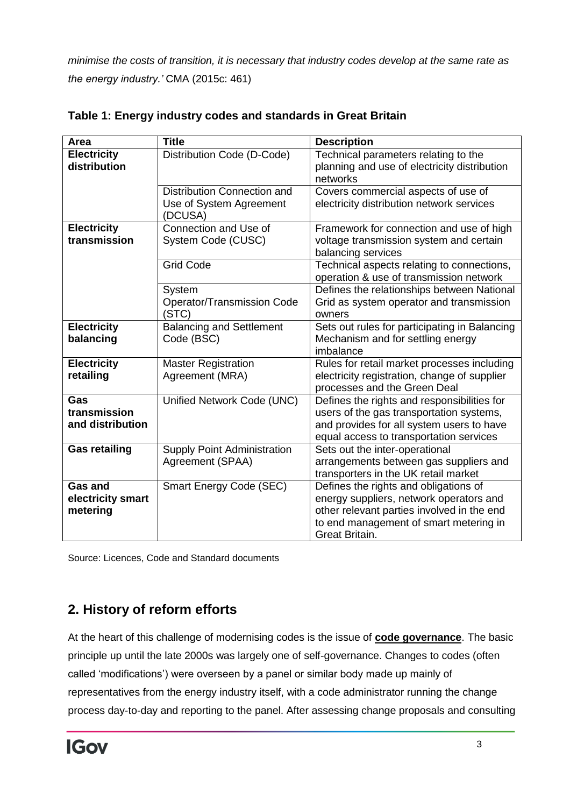*minimise the costs of transition, it is necessary that industry codes develop at the same rate as the energy industry.'* CMA (2015c: 461)

| Area                                            | <b>Title</b>                                                      | <b>Description</b>                                                                                                                                                                         |  |  |
|-------------------------------------------------|-------------------------------------------------------------------|--------------------------------------------------------------------------------------------------------------------------------------------------------------------------------------------|--|--|
| <b>Electricity</b><br>distribution              | Distribution Code (D-Code)                                        | Technical parameters relating to the<br>planning and use of electricity distribution<br>networks                                                                                           |  |  |
|                                                 | Distribution Connection and<br>Use of System Agreement<br>(DCUSA) | Covers commercial aspects of use of<br>electricity distribution network services                                                                                                           |  |  |
| <b>Electricity</b><br>transmission              | Connection and Use of<br>System Code (CUSC)                       | Framework for connection and use of high<br>voltage transmission system and certain<br>balancing services                                                                                  |  |  |
|                                                 | <b>Grid Code</b>                                                  | Technical aspects relating to connections,<br>operation & use of transmission network                                                                                                      |  |  |
|                                                 | System<br>Operator/Transmission Code<br>(STC)                     | Defines the relationships between National<br>Grid as system operator and transmission<br>owners                                                                                           |  |  |
| <b>Electricity</b><br>balancing                 | <b>Balancing and Settlement</b><br>Code (BSC)                     | Sets out rules for participating in Balancing<br>Mechanism and for settling energy<br>imbalance                                                                                            |  |  |
| <b>Electricity</b><br>retailing                 | <b>Master Registration</b><br>Agreement (MRA)                     | Rules for retail market processes including<br>electricity registration, change of supplier<br>processes and the Green Deal                                                                |  |  |
| Gas<br>transmission<br>and distribution         | Unified Network Code (UNC)                                        | Defines the rights and responsibilities for<br>users of the gas transportation systems,<br>and provides for all system users to have<br>equal access to transportation services            |  |  |
| <b>Gas retailing</b>                            | <b>Supply Point Administration</b><br>Agreement (SPAA)            | Sets out the inter-operational<br>arrangements between gas suppliers and<br>transporters in the UK retail market                                                                           |  |  |
| <b>Gas and</b><br>electricity smart<br>metering | <b>Smart Energy Code (SEC)</b>                                    | Defines the rights and obligations of<br>energy suppliers, network operators and<br>other relevant parties involved in the end<br>to end management of smart metering in<br>Great Britain. |  |  |

| Table 1: Energy industry codes and standards in Great Britain |  |  |  |  |  |  |  |
|---------------------------------------------------------------|--|--|--|--|--|--|--|
|---------------------------------------------------------------|--|--|--|--|--|--|--|

Source: Licences, Code and Standard documents

## **2. History of reform efforts**

At the heart of this challenge of modernising codes is the issue of **code governance**. The basic principle up until the late 2000s was largely one of self-governance. Changes to codes (often called 'modifications') were overseen by a panel or similar body made up mainly of representatives from the energy industry itself, with a code administrator running the change process day-to-day and reporting to the panel. After assessing change proposals and consulting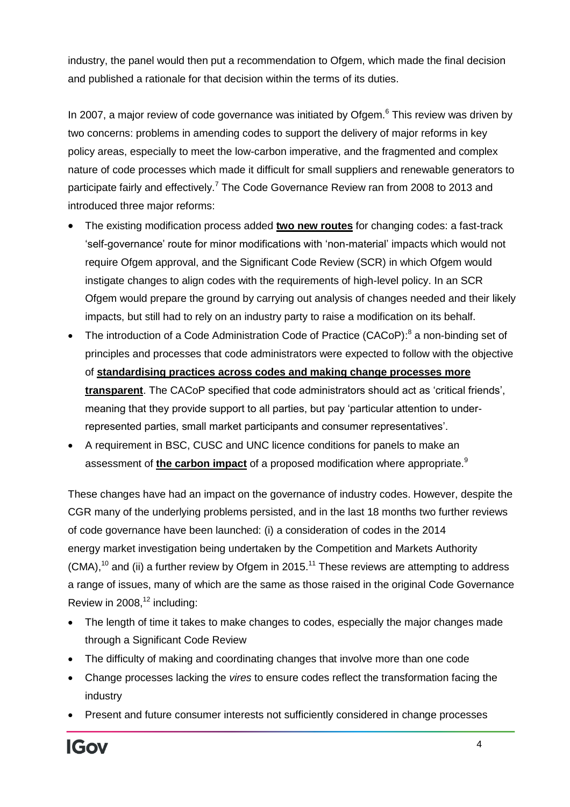industry, the panel would then put a recommendation to Ofgem, which made the final decision and published a rationale for that decision within the terms of its duties.

In 2007, a major review of code governance was initiated by Ofgem. $6$  This review was driven by two concerns: problems in amending codes to support the delivery of major reforms in key policy areas, especially to meet the low-carbon imperative, and the fragmented and complex nature of code processes which made it difficult for small suppliers and renewable generators to participate fairly and effectively.<sup>7</sup> The Code Governance Review ran from 2008 to 2013 and introduced three major reforms:

- The existing modification process added **two new routes** for changing codes: a fast-track 'self-governance' route for minor modifications with 'non-material' impacts which would not require Ofgem approval, and the Significant Code Review (SCR) in which Ofgem would instigate changes to align codes with the requirements of high-level policy. In an SCR Ofgem would prepare the ground by carrying out analysis of changes needed and their likely impacts, but still had to rely on an industry party to raise a modification on its behalf.
- The introduction of a Code Administration Code of Practice (CACoP):<sup>8</sup> a non-binding set of principles and processes that code administrators were expected to follow with the objective of **standardising practices across codes and making change processes more transparent**. The CACoP specified that code administrators should act as 'critical friends', meaning that they provide support to all parties, but pay 'particular attention to underrepresented parties, small market participants and consumer representatives'.
- A requirement in BSC, CUSC and UNC licence conditions for panels to make an assessment of **the carbon impact** of a proposed modification where appropriate.<sup>9</sup>

These changes have had an impact on the governance of industry codes. However, despite the CGR many of the underlying problems persisted, and in the last 18 months two further reviews of code governance have been launched: (i) a consideration of codes in the 2014 energy market investigation being undertaken by the Competition and Markets Authority  $(CMA)$ ,<sup>10</sup> and (ii) a further review by Ofgem in 2015.<sup>11</sup> These reviews are attempting to address a range of issues, many of which are the same as those raised in the original Code Governance Review in  $2008$ ,<sup>12</sup> including:

- The length of time it takes to make changes to codes, especially the major changes made through a Significant Code Review
- The difficulty of making and coordinating changes that involve more than one code
- Change processes lacking the *vires* to ensure codes reflect the transformation facing the industry
- Present and future consumer interests not sufficiently considered in change processes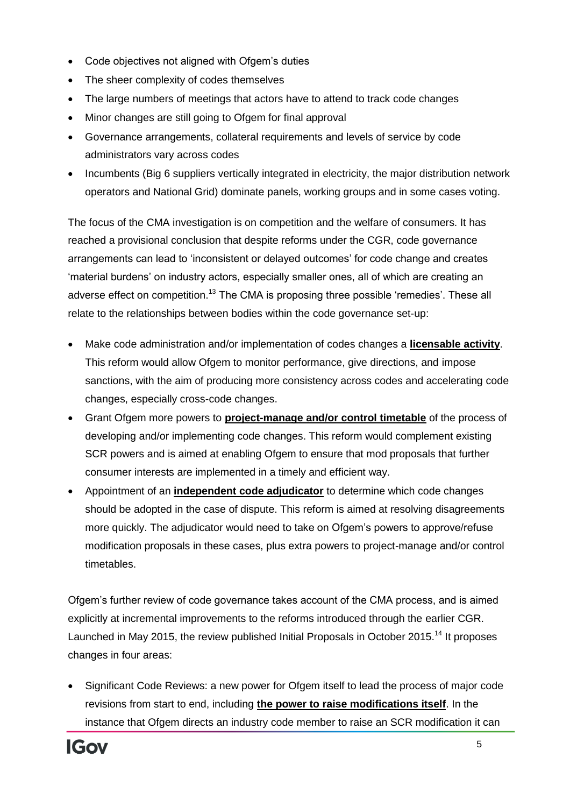- Code objectives not aligned with Ofgem's duties
- The sheer complexity of codes themselves
- The large numbers of meetings that actors have to attend to track code changes
- Minor changes are still going to Ofgem for final approval
- Governance arrangements, collateral requirements and levels of service by code administrators vary across codes
- Incumbents (Big 6 suppliers vertically integrated in electricity, the major distribution network operators and National Grid) dominate panels, working groups and in some cases voting.

The focus of the CMA investigation is on competition and the welfare of consumers. It has reached a provisional conclusion that despite reforms under the CGR, code governance arrangements can lead to 'inconsistent or delayed outcomes' for code change and creates 'material burdens' on industry actors, especially smaller ones, all of which are creating an adverse effect on competition.<sup>13</sup> The CMA is proposing three possible 'remedies'. These all relate to the relationships between bodies within the code governance set-up:

- Make code administration and/or implementation of codes changes a **licensable activity**. This reform would allow Ofgem to monitor performance, give directions, and impose sanctions, with the aim of producing more consistency across codes and accelerating code changes, especially cross-code changes.
- Grant Ofgem more powers to **project-manage and/or control timetable** of the process of developing and/or implementing code changes. This reform would complement existing SCR powers and is aimed at enabling Ofgem to ensure that mod proposals that further consumer interests are implemented in a timely and efficient way.
- Appointment of an **independent code adjudicator** to determine which code changes should be adopted in the case of dispute. This reform is aimed at resolving disagreements more quickly. The adjudicator would need to take on Ofgem's powers to approve/refuse modification proposals in these cases, plus extra powers to project-manage and/or control timetables.

Ofgem's further review of code governance takes account of the CMA process, and is aimed explicitly at incremental improvements to the reforms introduced through the earlier CGR. Launched in May 2015, the review published Initial Proposals in October 2015.<sup>14</sup> It proposes changes in four areas:

 Significant Code Reviews: a new power for Ofgem itself to lead the process of major code revisions from start to end, including **the power to raise modifications itself**. In the instance that Ofgem directs an industry code member to raise an SCR modification it can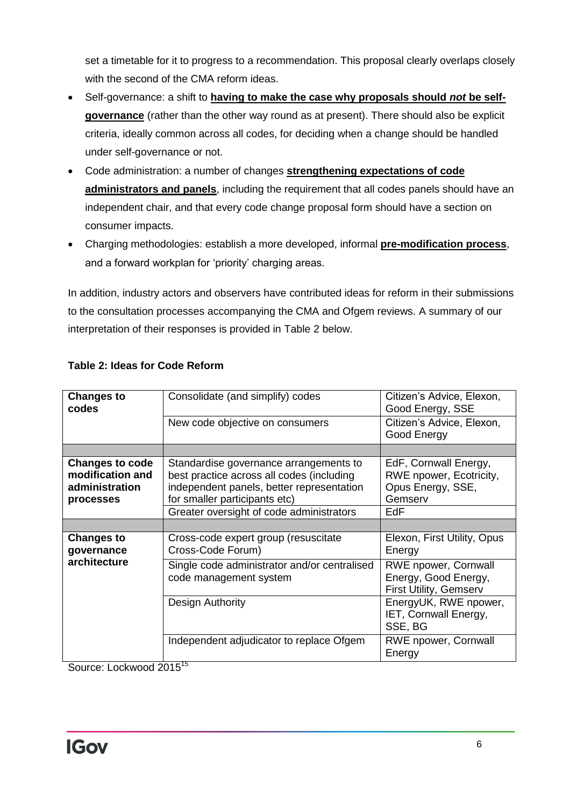set a timetable for it to progress to a recommendation. This proposal clearly overlaps closely with the second of the CMA reform ideas.

- Self-governance: a shift to **having to make the case why proposals should** *not* **be selfgovernance** (rather than the other way round as at present). There should also be explicit criteria, ideally common across all codes, for deciding when a change should be handled under self-governance or not.
- Code administration: a number of changes **strengthening expectations of code administrators and panels**, including the requirement that all codes panels should have an independent chair, and that every code change proposal form should have a section on consumer impacts.
- Charging methodologies: establish a more developed, informal **pre-modification process**, and a forward workplan for 'priority' charging areas.

In addition, industry actors and observers have contributed ideas for reform in their submissions to the consultation processes accompanying the CMA and Ofgem reviews. A summary of our interpretation of their responses is provided in Table 2 below.

| <b>Changes to</b><br>codes                                                | Consolidate (and simplify) codes                                                                                                                                  | Citizen's Advice, Elexon,<br>Good Energy, SSE                                        |  |  |
|---------------------------------------------------------------------------|-------------------------------------------------------------------------------------------------------------------------------------------------------------------|--------------------------------------------------------------------------------------|--|--|
|                                                                           | New code objective on consumers                                                                                                                                   | Citizen's Advice, Elexon,<br>Good Energy                                             |  |  |
|                                                                           |                                                                                                                                                                   |                                                                                      |  |  |
| <b>Changes to code</b><br>modification and<br>administration<br>processes | Standardise governance arrangements to<br>best practice across all codes (including<br>independent panels, better representation<br>for smaller participants etc) | EdF, Cornwall Energy,<br>RWE npower, Ecotricity,<br>Opus Energy, SSE,<br>Gemserv     |  |  |
|                                                                           | Greater oversight of code administrators                                                                                                                          | EdF                                                                                  |  |  |
|                                                                           |                                                                                                                                                                   |                                                                                      |  |  |
| <b>Changes to</b><br>governance<br>architecture                           | Cross-code expert group (resuscitate<br>Cross-Code Forum)                                                                                                         | Elexon, First Utility, Opus<br>Energy                                                |  |  |
|                                                                           | Single code administrator and/or centralised<br>code management system                                                                                            | <b>RWE npower, Cornwall</b><br>Energy, Good Energy,<br><b>First Utility, Gemserv</b> |  |  |
|                                                                           | Design Authority                                                                                                                                                  | EnergyUK, RWE npower,<br>IET, Cornwall Energy,<br>SSE, BG                            |  |  |
|                                                                           | Independent adjudicator to replace Ofgem                                                                                                                          | <b>RWE npower, Cornwall</b><br>Energy                                                |  |  |

## **Table 2: Ideas for Code Reform**

Source: Lockwood 2015<sup>15</sup>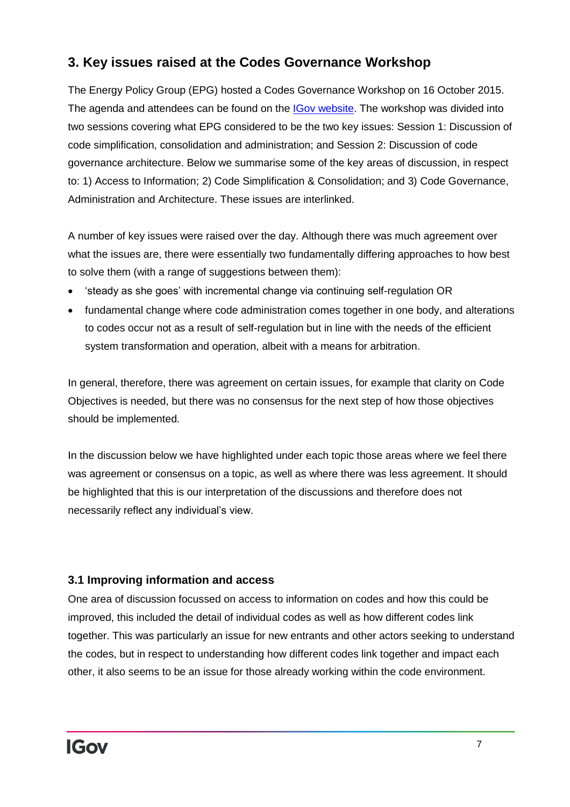## **3. Key issues raised at the Codes Governance Workshop**

The Energy Policy Group (EPG) hosted a Codes Governance Workshop on 16 October 2015. The agenda and attendees can be found on the **IGov website**. The workshop was divided into two sessions covering what EPG considered to be the two key issues: Session 1: Discussion of code simplification, consolidation and administration; and Session 2: Discussion of code governance architecture. Below we summarise some of the key areas of discussion, in respect to: 1) Access to Information; 2) Code Simplification & Consolidation; and 3) Code Governance, Administration and Architecture. These issues are interlinked.

A number of key issues were raised over the day. Although there was much agreement over what the issues are, there were essentially two fundamentally differing approaches to how best to solve them (with a range of suggestions between them):

- 'steady as she goes' with incremental change via continuing self-regulation OR
- fundamental change where code administration comes together in one body, and alterations to codes occur not as a result of self-regulation but in line with the needs of the efficient system transformation and operation, albeit with a means for arbitration.

In general, therefore, there was agreement on certain issues, for example that clarity on Code Objectives is needed, but there was no consensus for the next step of how those objectives should be implemented.

In the discussion below we have highlighted under each topic those areas where we feel there was agreement or consensus on a topic, as well as where there was less agreement. It should be highlighted that this is our interpretation of the discussions and therefore does not necessarily reflect any individual's view.

## **3.1 Improving information and access**

One area of discussion focussed on access to information on codes and how this could be improved, this included the detail of individual codes as well as how different codes link together. This was particularly an issue for new entrants and other actors seeking to understand the codes, but in respect to understanding how different codes link together and impact each other, it also seems to be an issue for those already working within the code environment.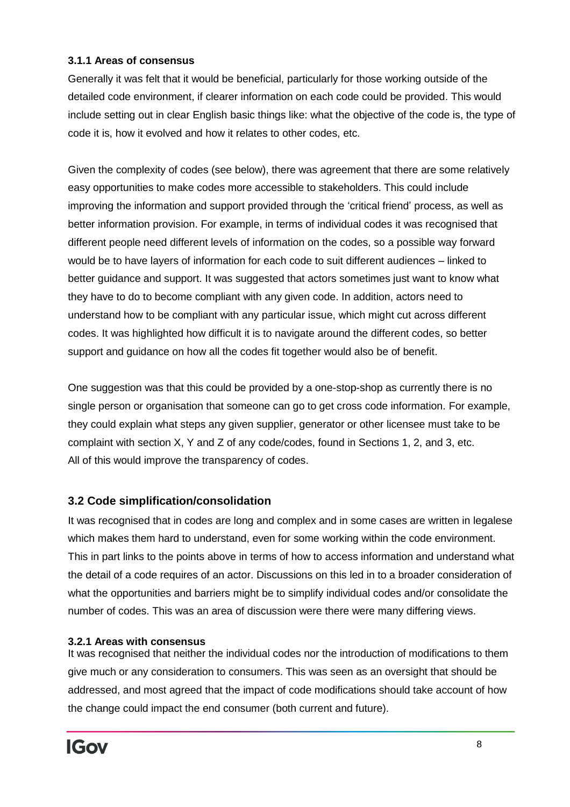### **3.1.1 Areas of consensus**

Generally it was felt that it would be beneficial, particularly for those working outside of the detailed code environment, if clearer information on each code could be provided. This would include setting out in clear English basic things like: what the objective of the code is, the type of code it is, how it evolved and how it relates to other codes, etc.

Given the complexity of codes (see below), there was agreement that there are some relatively easy opportunities to make codes more accessible to stakeholders. This could include improving the information and support provided through the 'critical friend' process, as well as better information provision. For example, in terms of individual codes it was recognised that different people need different levels of information on the codes, so a possible way forward would be to have layers of information for each code to suit different audiences – linked to better guidance and support. It was suggested that actors sometimes just want to know what they have to do to become compliant with any given code. In addition, actors need to understand how to be compliant with any particular issue, which might cut across different codes. It was highlighted how difficult it is to navigate around the different codes, so better support and guidance on how all the codes fit together would also be of benefit.

One suggestion was that this could be provided by a one-stop-shop as currently there is no single person or organisation that someone can go to get cross code information. For example, they could explain what steps any given supplier, generator or other licensee must take to be complaint with section X, Y and Z of any code/codes, found in Sections 1, 2, and 3, etc. All of this would improve the transparency of codes.

### **3.2 Code simplification/consolidation**

It was recognised that in codes are long and complex and in some cases are written in legalese which makes them hard to understand, even for some working within the code environment. This in part links to the points above in terms of how to access information and understand what the detail of a code requires of an actor. Discussions on this led in to a broader consideration of what the opportunities and barriers might be to simplify individual codes and/or consolidate the number of codes. This was an area of discussion were there were many differing views.

### **3.2.1 Areas with consensus**

It was recognised that neither the individual codes nor the introduction of modifications to them give much or any consideration to consumers. This was seen as an oversight that should be addressed, and most agreed that the impact of code modifications should take account of how the change could impact the end consumer (both current and future).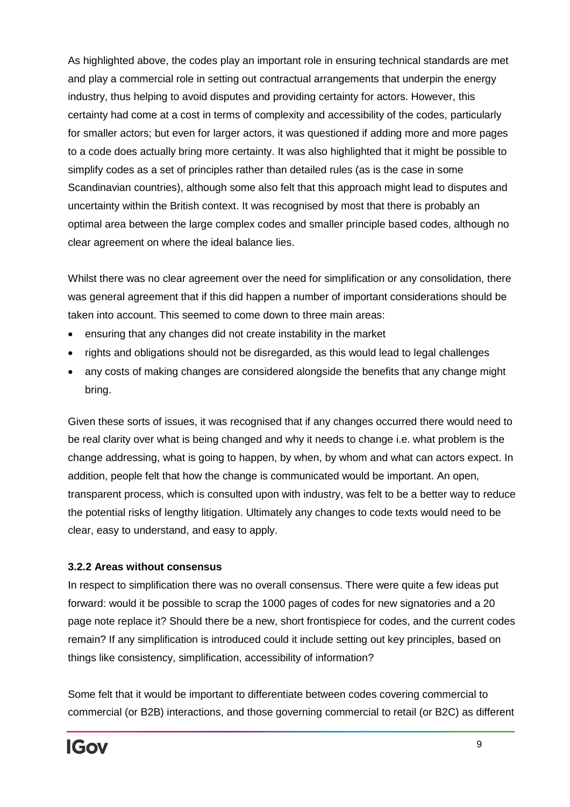As highlighted above, the codes play an important role in ensuring technical standards are met and play a commercial role in setting out contractual arrangements that underpin the energy industry, thus helping to avoid disputes and providing certainty for actors. However, this certainty had come at a cost in terms of complexity and accessibility of the codes, particularly for smaller actors; but even for larger actors, it was questioned if adding more and more pages to a code does actually bring more certainty. It was also highlighted that it might be possible to simplify codes as a set of principles rather than detailed rules (as is the case in some Scandinavian countries), although some also felt that this approach might lead to disputes and uncertainty within the British context. It was recognised by most that there is probably an optimal area between the large complex codes and smaller principle based codes, although no clear agreement on where the ideal balance lies.

Whilst there was no clear agreement over the need for simplification or any consolidation, there was general agreement that if this did happen a number of important considerations should be taken into account. This seemed to come down to three main areas:

- ensuring that any changes did not create instability in the market
- rights and obligations should not be disregarded, as this would lead to legal challenges
- any costs of making changes are considered alongside the benefits that any change might bring.

Given these sorts of issues, it was recognised that if any changes occurred there would need to be real clarity over what is being changed and why it needs to change i.e. what problem is the change addressing, what is going to happen, by when, by whom and what can actors expect. In addition, people felt that how the change is communicated would be important. An open, transparent process, which is consulted upon with industry, was felt to be a better way to reduce the potential risks of lengthy litigation. Ultimately any changes to code texts would need to be clear, easy to understand, and easy to apply.

#### **3.2.2 Areas without consensus**

In respect to simplification there was no overall consensus. There were quite a few ideas put forward: would it be possible to scrap the 1000 pages of codes for new signatories and a 20 page note replace it? Should there be a new, short frontispiece for codes, and the current codes remain? If any simplification is introduced could it include setting out key principles, based on things like consistency, simplification, accessibility of information?

Some felt that it would be important to differentiate between codes covering commercial to commercial (or B2B) interactions, and those governing commercial to retail (or B2C) as different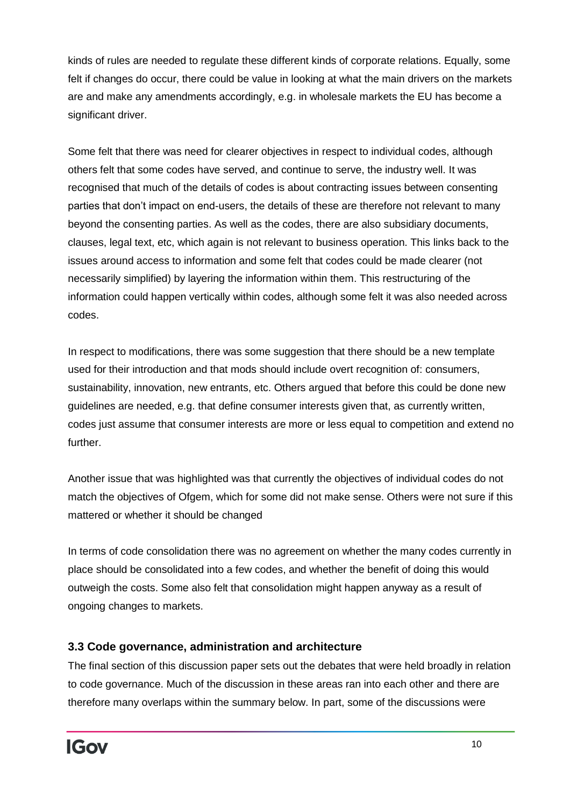kinds of rules are needed to regulate these different kinds of corporate relations. Equally, some felt if changes do occur, there could be value in looking at what the main drivers on the markets are and make any amendments accordingly, e.g. in wholesale markets the EU has become a significant driver.

Some felt that there was need for clearer objectives in respect to individual codes, although others felt that some codes have served, and continue to serve, the industry well. It was recognised that much of the details of codes is about contracting issues between consenting parties that don't impact on end-users, the details of these are therefore not relevant to many beyond the consenting parties. As well as the codes, there are also subsidiary documents, clauses, legal text, etc, which again is not relevant to business operation. This links back to the issues around access to information and some felt that codes could be made clearer (not necessarily simplified) by layering the information within them. This restructuring of the information could happen vertically within codes, although some felt it was also needed across codes.

In respect to modifications, there was some suggestion that there should be a new template used for their introduction and that mods should include overt recognition of: consumers, sustainability, innovation, new entrants, etc. Others argued that before this could be done new guidelines are needed, e.g. that define consumer interests given that, as currently written, codes just assume that consumer interests are more or less equal to competition and extend no further.

Another issue that was highlighted was that currently the objectives of individual codes do not match the objectives of Ofgem, which for some did not make sense. Others were not sure if this mattered or whether it should be changed

In terms of code consolidation there was no agreement on whether the many codes currently in place should be consolidated into a few codes, and whether the benefit of doing this would outweigh the costs. Some also felt that consolidation might happen anyway as a result of ongoing changes to markets.

## **3.3 Code governance, administration and architecture**

The final section of this discussion paper sets out the debates that were held broadly in relation to code governance. Much of the discussion in these areas ran into each other and there are therefore many overlaps within the summary below. In part, some of the discussions were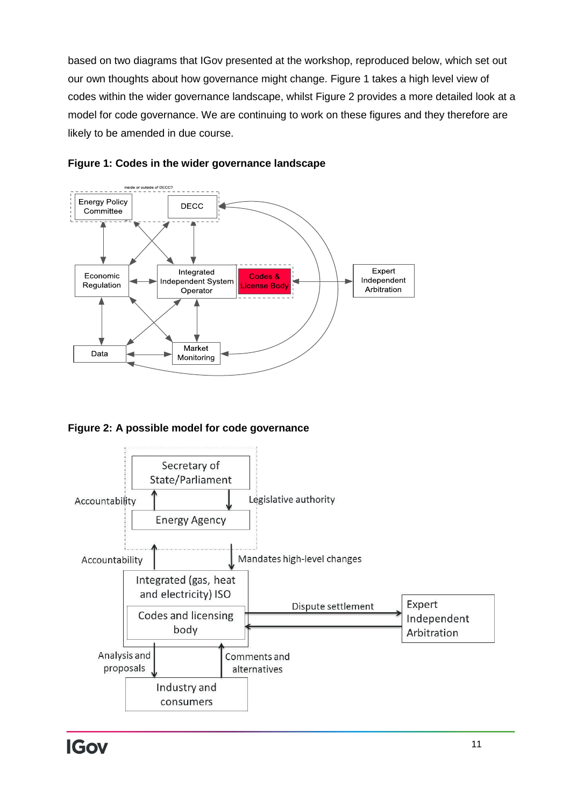based on two diagrams that IGov presented at the workshop, reproduced below, which set out our own thoughts about how governance might change. Figure 1 takes a high level view of codes within the wider governance landscape, whilst Figure 2 provides a more detailed look at a model for code governance. We are continuing to work on these figures and they therefore are likely to be amended in due course.





**Figure 2: A possible model for code governance**

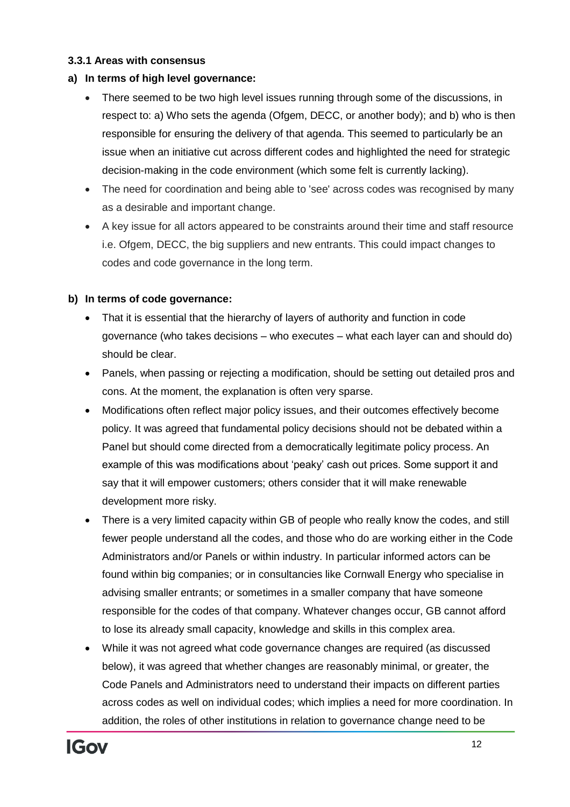#### **3.3.1 Areas with consensus**

#### **a) In terms of high level governance:**

- There seemed to be two high level issues running through some of the discussions, in respect to: a) Who sets the agenda (Ofgem, DECC, or another body); and b) who is then responsible for ensuring the delivery of that agenda. This seemed to particularly be an issue when an initiative cut across different codes and highlighted the need for strategic decision-making in the code environment (which some felt is currently lacking).
- The need for coordination and being able to 'see' across codes was recognised by many as a desirable and important change.
- A key issue for all actors appeared to be constraints around their time and staff resource i.e. Ofgem, DECC, the big suppliers and new entrants. This could impact changes to codes and code governance in the long term.

#### **b) In terms of code governance:**

- That it is essential that the hierarchy of layers of authority and function in code governance (who takes decisions – who executes – what each layer can and should do) should be clear.
- Panels, when passing or rejecting a modification, should be setting out detailed pros and cons. At the moment, the explanation is often very sparse.
- Modifications often reflect major policy issues, and their outcomes effectively become policy. It was agreed that fundamental policy decisions should not be debated within a Panel but should come directed from a democratically legitimate policy process. An example of this was modifications about 'peaky' cash out prices. Some support it and say that it will empower customers; others consider that it will make renewable development more risky.
- There is a very limited capacity within GB of people who really know the codes, and still fewer people understand all the codes, and those who do are working either in the Code Administrators and/or Panels or within industry. In particular informed actors can be found within big companies; or in consultancies like Cornwall Energy who specialise in advising smaller entrants; or sometimes in a smaller company that have someone responsible for the codes of that company. Whatever changes occur, GB cannot afford to lose its already small capacity, knowledge and skills in this complex area.
- While it was not agreed what code governance changes are required (as discussed below), it was agreed that whether changes are reasonably minimal, or greater, the Code Panels and Administrators need to understand their impacts on different parties across codes as well on individual codes; which implies a need for more coordination. In addition, the roles of other institutions in relation to governance change need to be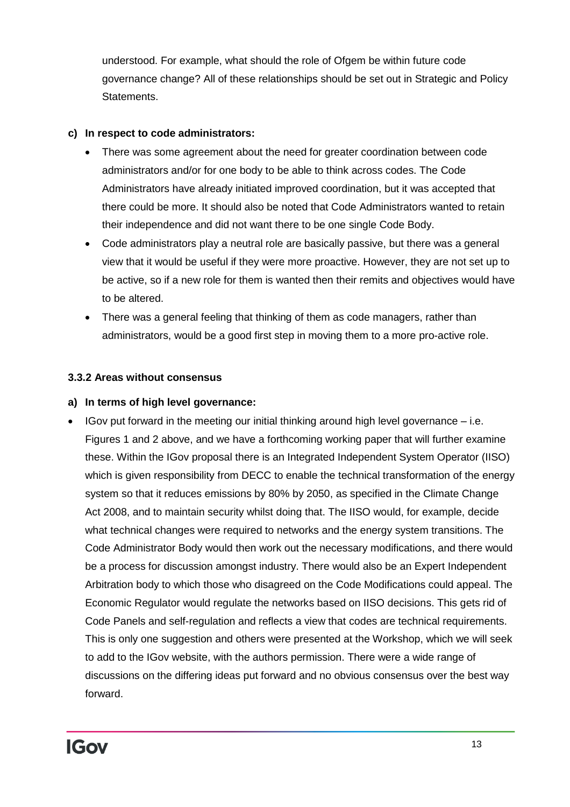understood. For example, what should the role of Ofgem be within future code governance change? All of these relationships should be set out in Strategic and Policy Statements.

#### **c) In respect to code administrators:**

- There was some agreement about the need for greater coordination between code administrators and/or for one body to be able to think across codes. The Code Administrators have already initiated improved coordination, but it was accepted that there could be more. It should also be noted that Code Administrators wanted to retain their independence and did not want there to be one single Code Body.
- Code administrators play a neutral role are basically passive, but there was a general view that it would be useful if they were more proactive. However, they are not set up to be active, so if a new role for them is wanted then their remits and objectives would have to be altered.
- There was a general feeling that thinking of them as code managers, rather than administrators, would be a good first step in moving them to a more pro-active role.

#### **3.3.2 Areas without consensus**

#### **a) In terms of high level governance:**

 IGov put forward in the meeting our initial thinking around high level governance – i.e. Figures 1 and 2 above, and we have a forthcoming working paper that will further examine these. Within the IGov proposal there is an Integrated Independent System Operator (IISO) which is given responsibility from DECC to enable the technical transformation of the energy system so that it reduces emissions by 80% by 2050, as specified in the Climate Change Act 2008, and to maintain security whilst doing that. The IISO would, for example, decide what technical changes were required to networks and the energy system transitions. The Code Administrator Body would then work out the necessary modifications, and there would be a process for discussion amongst industry. There would also be an Expert Independent Arbitration body to which those who disagreed on the Code Modifications could appeal. The Economic Regulator would regulate the networks based on IISO decisions. This gets rid of Code Panels and self-regulation and reflects a view that codes are technical requirements. This is only one suggestion and others were presented at the Workshop, which we will seek to add to the IGov website, with the authors permission. There were a wide range of discussions on the differing ideas put forward and no obvious consensus over the best way forward.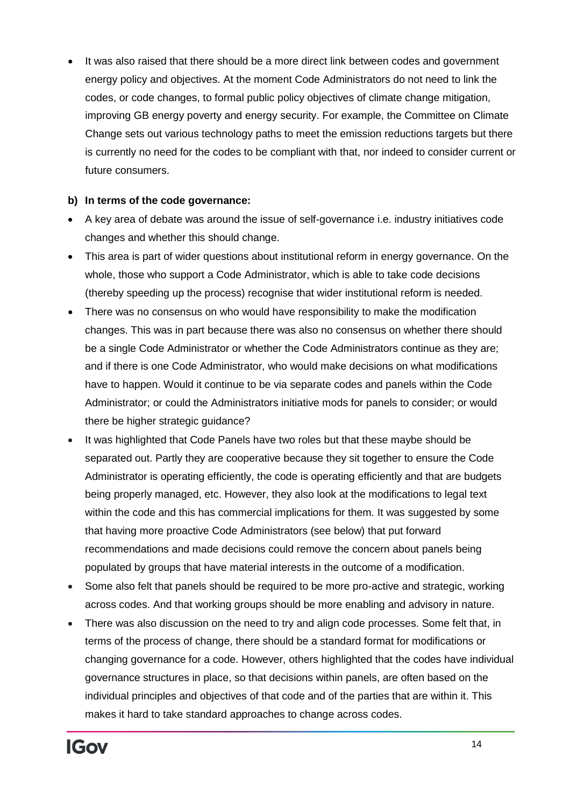It was also raised that there should be a more direct link between codes and government energy policy and objectives. At the moment Code Administrators do not need to link the codes, or code changes, to formal public policy objectives of climate change mitigation, improving GB energy poverty and energy security. For example, the Committee on Climate Change sets out various technology paths to meet the emission reductions targets but there is currently no need for the codes to be compliant with that, nor indeed to consider current or future consumers.

#### **b) In terms of the code governance:**

- A key area of debate was around the issue of self-governance i.e. industry initiatives code changes and whether this should change.
- This area is part of wider questions about institutional reform in energy governance. On the whole, those who support a Code Administrator, which is able to take code decisions (thereby speeding up the process) recognise that wider institutional reform is needed.
- There was no consensus on who would have responsibility to make the modification changes. This was in part because there was also no consensus on whether there should be a single Code Administrator or whether the Code Administrators continue as they are; and if there is one Code Administrator, who would make decisions on what modifications have to happen. Would it continue to be via separate codes and panels within the Code Administrator; or could the Administrators initiative mods for panels to consider; or would there be higher strategic guidance?
- It was highlighted that Code Panels have two roles but that these maybe should be separated out. Partly they are cooperative because they sit together to ensure the Code Administrator is operating efficiently, the code is operating efficiently and that are budgets being properly managed, etc. However, they also look at the modifications to legal text within the code and this has commercial implications for them. It was suggested by some that having more proactive Code Administrators (see below) that put forward recommendations and made decisions could remove the concern about panels being populated by groups that have material interests in the outcome of a modification.
- Some also felt that panels should be required to be more pro-active and strategic, working across codes. And that working groups should be more enabling and advisory in nature.
- There was also discussion on the need to try and align code processes. Some felt that, in terms of the process of change, there should be a standard format for modifications or changing governance for a code. However, others highlighted that the codes have individual governance structures in place, so that decisions within panels, are often based on the individual principles and objectives of that code and of the parties that are within it. This makes it hard to take standard approaches to change across codes.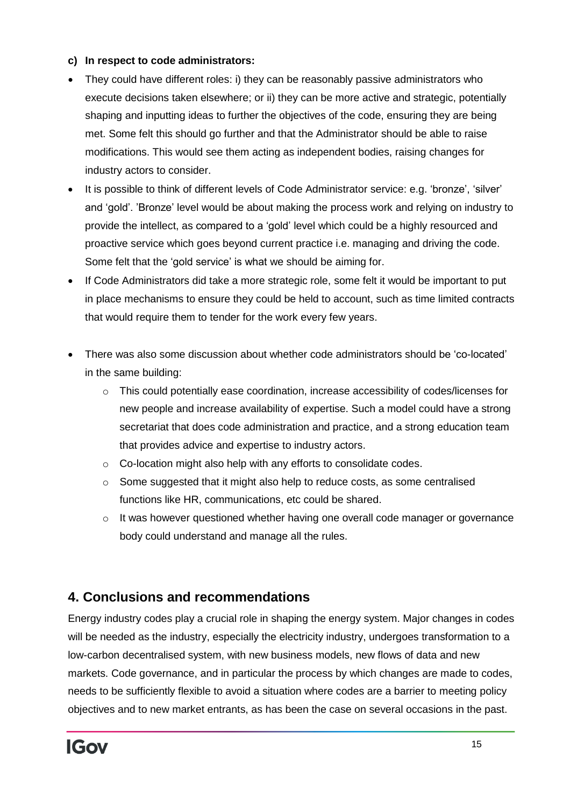#### **c) In respect to code administrators:**

- They could have different roles: i) they can be reasonably passive administrators who execute decisions taken elsewhere; or ii) they can be more active and strategic, potentially shaping and inputting ideas to further the objectives of the code, ensuring they are being met. Some felt this should go further and that the Administrator should be able to raise modifications. This would see them acting as independent bodies, raising changes for industry actors to consider.
- It is possible to think of different levels of Code Administrator service: e.g. 'bronze', 'silver' and 'gold'. 'Bronze' level would be about making the process work and relying on industry to provide the intellect, as compared to a 'gold' level which could be a highly resourced and proactive service which goes beyond current practice i.e. managing and driving the code. Some felt that the 'gold service' is what we should be aiming for.
- If Code Administrators did take a more strategic role, some felt it would be important to put in place mechanisms to ensure they could be held to account, such as time limited contracts that would require them to tender for the work every few years.
- There was also some discussion about whether code administrators should be 'co-located' in the same building:
	- $\circ$  This could potentially ease coordination, increase accessibility of codes/licenses for new people and increase availability of expertise. Such a model could have a strong secretariat that does code administration and practice, and a strong education team that provides advice and expertise to industry actors.
	- o Co-location might also help with any efforts to consolidate codes.
	- $\circ$  Some suggested that it might also help to reduce costs, as some centralised functions like HR, communications, etc could be shared.
	- o It was however questioned whether having one overall code manager or governance body could understand and manage all the rules.

## **4. Conclusions and recommendations**

Energy industry codes play a crucial role in shaping the energy system. Major changes in codes will be needed as the industry, especially the electricity industry, undergoes transformation to a low-carbon decentralised system, with new business models, new flows of data and new markets. Code governance, and in particular the process by which changes are made to codes, needs to be sufficiently flexible to avoid a situation where codes are a barrier to meeting policy objectives and to new market entrants, as has been the case on several occasions in the past.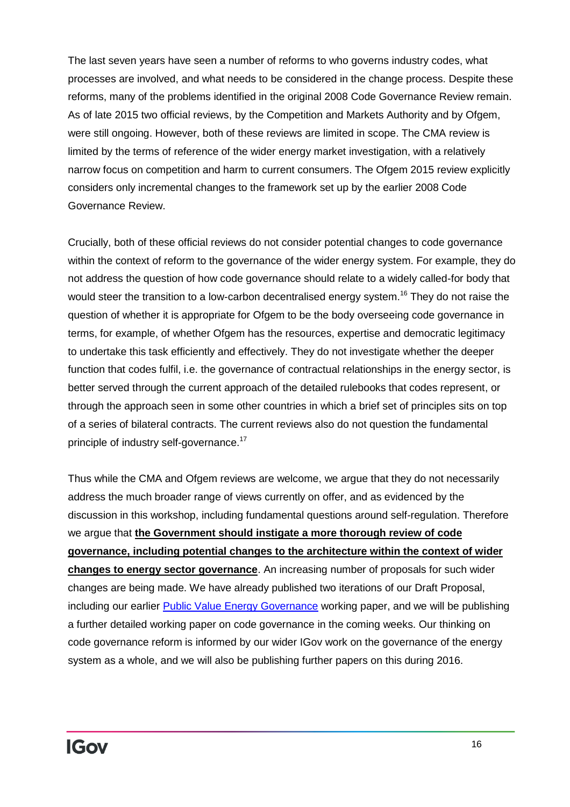The last seven years have seen a number of reforms to who governs industry codes, what processes are involved, and what needs to be considered in the change process. Despite these reforms, many of the problems identified in the original 2008 Code Governance Review remain. As of late 2015 two official reviews, by the Competition and Markets Authority and by Ofgem, were still ongoing. However, both of these reviews are limited in scope. The CMA review is limited by the terms of reference of the wider energy market investigation, with a relatively narrow focus on competition and harm to current consumers. The Ofgem 2015 review explicitly considers only incremental changes to the framework set up by the earlier 2008 Code Governance Review.

Crucially, both of these official reviews do not consider potential changes to code governance within the context of reform to the governance of the wider energy system. For example, they do not address the question of how code governance should relate to a widely called-for body that would steer the transition to a low-carbon decentralised energy system.<sup>16</sup> They do not raise the question of whether it is appropriate for Ofgem to be the body overseeing code governance in terms, for example, of whether Ofgem has the resources, expertise and democratic legitimacy to undertake this task efficiently and effectively. They do not investigate whether the deeper function that codes fulfil, i.e. the governance of contractual relationships in the energy sector, is better served through the current approach of the detailed rulebooks that codes represent, or through the approach seen in some other countries in which a brief set of principles sits on top of a series of bilateral contracts. The current reviews also do not question the fundamental principle of industry self-governance.<sup>17</sup>

Thus while the CMA and Ofgem reviews are welcome, we argue that they do not necessarily address the much broader range of views currently on offer, and as evidenced by the discussion in this workshop, including fundamental questions around self-regulation. Therefore we argue that **the Government should instigate a more thorough review of code governance, including potential changes to the architecture within the context of wider changes to energy sector governance**. An increasing number of proposals for such wider changes are being made. We have already published two iterations of our Draft Proposal, including our earlier [Public Value Energy Governance](http://projects.exeter.ac.uk/igov/new-thinking-fit-for-purpose-gb-energy-governance/) working paper, and we will be publishing a further detailed working paper on code governance in the coming weeks. Our thinking on code governance reform is informed by our wider IGov work on the governance of the energy system as a whole, and we will also be publishing further papers on this during 2016.